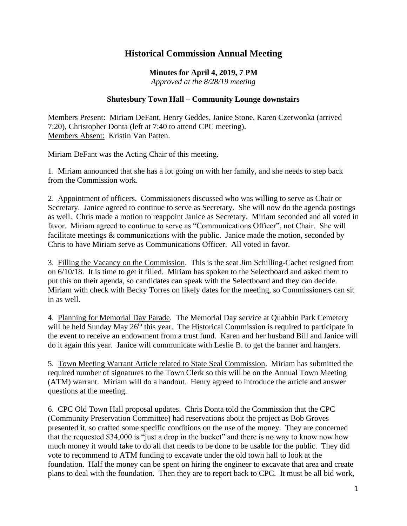## **Historical Commission Annual Meeting**

**Minutes for April 4, 2019, 7 PM** *Approved at the 8/28/19 meeting*

## **Shutesbury Town Hall – Community Lounge downstairs**

Members Present: Miriam DeFant, Henry Geddes, Janice Stone, Karen Czerwonka (arrived 7:20), Christopher Donta (left at 7:40 to attend CPC meeting). Members Absent: Kristin Van Patten.

Miriam DeFant was the Acting Chair of this meeting.

1. Miriam announced that she has a lot going on with her family, and she needs to step back from the Commission work.

2. Appointment of officers. Commissioners discussed who was willing to serve as Chair or Secretary. Janice agreed to continue to serve as Secretary. She will now do the agenda postings as well. Chris made a motion to reappoint Janice as Secretary. Miriam seconded and all voted in favor. Miriam agreed to continue to serve as "Communications Officer", not Chair. She will facilitate meetings & communications with the public. Janice made the motion, seconded by Chris to have Miriam serve as Communications Officer. All voted in favor.

3. Filling the Vacancy on the Commission. This is the seat Jim Schilling-Cachet resigned from on 6/10/18. It is time to get it filled. Miriam has spoken to the Selectboard and asked them to put this on their agenda, so candidates can speak with the Selectboard and they can decide. Miriam with check with Becky Torres on likely dates for the meeting, so Commissioners can sit in as well.

4. Planning for Memorial Day Parade. The Memorial Day service at Quabbin Park Cemetery will be held Sunday May  $26<sup>th</sup>$  this year. The Historical Commission is required to participate in the event to receive an endowment from a trust fund. Karen and her husband Bill and Janice will do it again this year. Janice will communicate with Leslie B. to get the banner and hangers.

5. Town Meeting Warrant Article related to State Seal Commission. Miriam has submitted the required number of signatures to the Town Clerk so this will be on the Annual Town Meeting (ATM) warrant. Miriam will do a handout. Henry agreed to introduce the article and answer questions at the meeting.

6. CPC Old Town Hall proposal updates. Chris Donta told the Commission that the CPC (Community Preservation Committee) had reservations about the project as Bob Groves presented it, so crafted some specific conditions on the use of the money. They are concerned that the requested \$34,000 is "just a drop in the bucket" and there is no way to know now how much money it would take to do all that needs to be done to be usable for the public. They did vote to recommend to ATM funding to excavate under the old town hall to look at the foundation. Half the money can be spent on hiring the engineer to excavate that area and create plans to deal with the foundation. Then they are to report back to CPC. It must be all bid work,